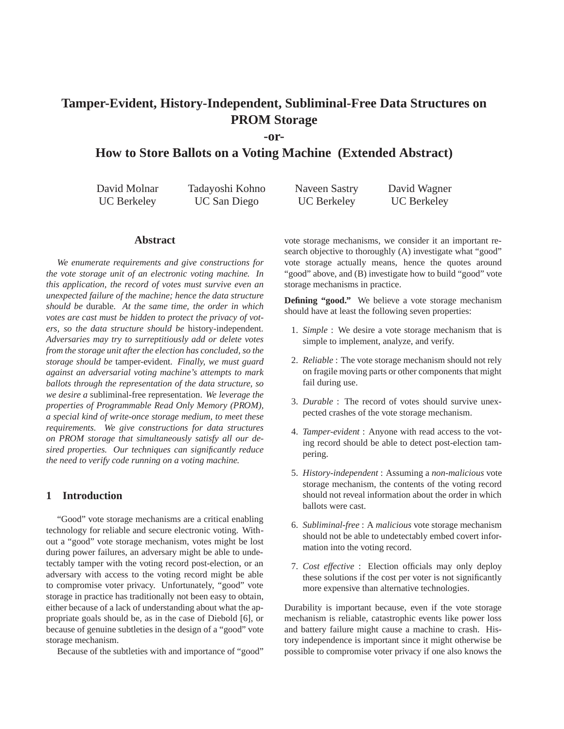# **Tamper-Evident, History-Independent, Subliminal-Free Data Structures on PROM Storage**

**-or-**

## **How to Store Ballots on a Voting Machine (Extended Abstract)**

| David Molnar       | Tadayoshi Kohno | Naveen Sastry      | David Wagner       |
|--------------------|-----------------|--------------------|--------------------|
| <b>UC</b> Berkeley | UC San Diego    | <b>UC</b> Berkeley | <b>UC Berkeley</b> |

#### **Abstract**

*We enumerate requirements and give constructions for the vote storage unit of an electronic voting machine. In this application, the record of votes must survive even an unexpected failure of the machine; hence the data structure should be* durable*. At the same time, the order in which votes are cast must be hidden to protect the privacy of voters, so the data structure should be* history-independent*. Adversaries may try to surreptitiously add or delete votes from the storage unit after the election has concluded, so the storage should be* tamper-evident*. Finally, we must guard against an adversarial voting machine's attempts to mark ballots through the representation of the data structure, so we desire a* subliminal-free representation*. We leverage the properties of Programmable Read Only Memory (PROM), a special kind of write-once storage medium, to meet these requirements. We give constructions for data structures on PROM storage that simultaneously satisfy all our desired properties. Our techniques can significantly reduce the need to verify code running on a voting machine.*

#### **1 Introduction**

"Good" vote storage mechanisms are a critical enabling technology for reliable and secure electronic voting. Without a "good" vote storage mechanism, votes might be lost during power failures, an adversary might be able to undetectably tamper with the voting record post-election, or an adversary with access to the voting record might be able to compromise voter privacy. Unfortunately, "good" vote storage in practice has traditionally not been easy to obtain, either because of a lack of understanding about what the appropriate goals should be, as in the case of Diebold [6], or because of genuine subtleties in the design of a "good" vote storage mechanism.

Because of the subtleties with and importance of "good"

vote storage mechanisms, we consider it an important research objective to thoroughly (A) investigate what "good" vote storage actually means, hence the quotes around "good" above, and (B) investigate how to build "good" vote storage mechanisms in practice.

**Defining "good."** We believe a vote storage mechanism should have at least the following seven properties:

- 1. *Simple* : We desire a vote storage mechanism that is simple to implement, analyze, and verify.
- 2. *Reliable* : The vote storage mechanism should not rely on fragile moving parts or other components that might fail during use.
- 3. *Durable* : The record of votes should survive unexpected crashes of the vote storage mechanism.
- 4. *Tamper-evident* : Anyone with read access to the voting record should be able to detect post-election tampering.
- 5. *History-independent* : Assuming a *non-malicious* vote storage mechanism, the contents of the voting record should not reveal information about the order in which ballots were cast.
- 6. *Subliminal-free* : A *malicious* vote storage mechanism should not be able to undetectably embed covert information into the voting record.
- 7. *Cost effective* : Election officials may only deploy these solutions if the cost per voter is not significantly more expensive than alternative technologies.

Durability is important because, even if the vote storage mechanism is reliable, catastrophic events like power loss and battery failure might cause a machine to crash. History independence is important since it might otherwise be possible to compromise voter privacy if one also knows the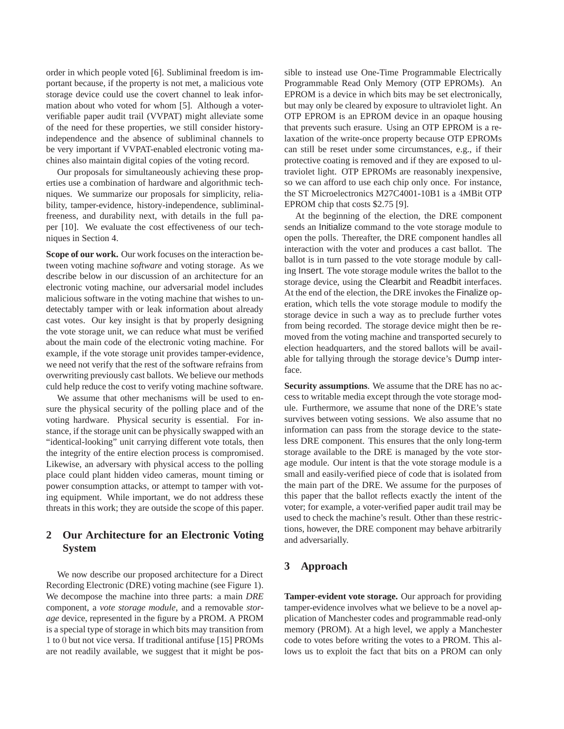order in which people voted [6]. Subliminal freedom is important because, if the property is not met, a malicious vote storage device could use the covert channel to leak information about who voted for whom [5]. Although a voterverifiable paper audit trail (VVPAT) might alleviate some of the need for these properties, we still consider historyindependence and the absence of subliminal channels to be very important if VVPAT-enabled electronic voting machines also maintain digital copies of the voting record.

Our proposals for simultaneously achieving these properties use a combination of hardware and algorithmic techniques. We summarize our proposals for simplicity, reliability, tamper-evidence, history-independence, subliminalfreeness, and durability next, with details in the full paper [10]. We evaluate the cost effectiveness of our techniques in Section 4.

**Scope of our work.** Our work focuses on the interaction between voting machine *software* and voting storage. As we describe below in our discussion of an architecture for an electronic voting machine, our adversarial model includes malicious software in the voting machine that wishes to undetectably tamper with or leak information about already cast votes. Our key insight is that by properly designing the vote storage unit, we can reduce what must be verified about the main code of the electronic voting machine. For example, if the vote storage unit provides tamper-evidence, we need not verify that the rest of the software refrains from overwriting previously cast ballots. We believe our methods culd help reduce the cost to verify voting machine software.

We assume that other mechanisms will be used to ensure the physical security of the polling place and of the voting hardware. Physical security is essential. For instance, if the storage unit can be physically swapped with an "identical-looking" unit carrying different vote totals, then the integrity of the entire election process is compromised. Likewise, an adversary with physical access to the polling place could plant hidden video cameras, mount timing or power consumption attacks, or attempt to tamper with voting equipment. While important, we do not address these threats in this work; they are outside the scope of this paper.

### **2 Our Architecture for an Electronic Voting System**

We now describe our proposed architecture for a Direct Recording Electronic (DRE) voting machine (see Figure 1). We decompose the machine into three parts: a main *DRE* component, a *vote storage module*, and a removable *storage* device, represented in the figure by a PROM. A PROM is a special type of storage in which bits may transition from 1 to 0 but not vice versa. If traditional antifuse [15] PROMs are not readily available, we suggest that it might be possible to instead use One-Time Programmable Electrically Programmable Read Only Memory (OTP EPROMs). An EPROM is a device in which bits may be set electronically, but may only be cleared by exposure to ultraviolet light. An OTP EPROM is an EPROM device in an opaque housing that prevents such erasure. Using an OTP EPROM is a relaxation of the write-once property because OTP EPROMs can still be reset under some circumstances, e.g., if their protective coating is removed and if they are exposed to ultraviolet light. OTP EPROMs are reasonably inexpensive, so we can afford to use each chip only once. For instance, the ST Microelectronics M27C4001-10B1 is a 4MBit OTP EPROM chip that costs \$2.75 [9].

At the beginning of the election, the DRE component sends an Initialize command to the vote storage module to open the polls. Thereafter, the DRE component handles all interaction with the voter and produces a cast ballot. The ballot is in turn passed to the vote storage module by calling Insert. The vote storage module writes the ballot to the storage device, using the Clearbit and Readbit interfaces. At the end of the election, the DRE invokes the Finalize operation, which tells the vote storage module to modify the storage device in such a way as to preclude further votes from being recorded. The storage device might then be removed from the voting machine and transported securely to election headquarters, and the stored ballots will be available for tallying through the storage device's Dump interface.

**Security assumptions**. We assume that the DRE has no access to writable media except through the vote storage module. Furthermore, we assume that none of the DRE's state survives between voting sessions. We also assume that no information can pass from the storage device to the stateless DRE component. This ensures that the only long-term storage available to the DRE is managed by the vote storage module. Our intent is that the vote storage module is a small and easily-verified piece of code that is isolated from the main part of the DRE. We assume for the purposes of this paper that the ballot reflects exactly the intent of the voter; for example, a voter-verified paper audit trail may be used to check the machine's result. Other than these restrictions, however, the DRE component may behave arbitrarily and adversarially.

#### **3 Approach**

**Tamper-evident vote storage.** Our approach for providing tamper-evidence involves what we believe to be a novel application of Manchester codes and programmable read-only memory (PROM). At a high level, we apply a Manchester code to votes before writing the votes to a PROM. This allows us to exploit the fact that bits on a PROM can only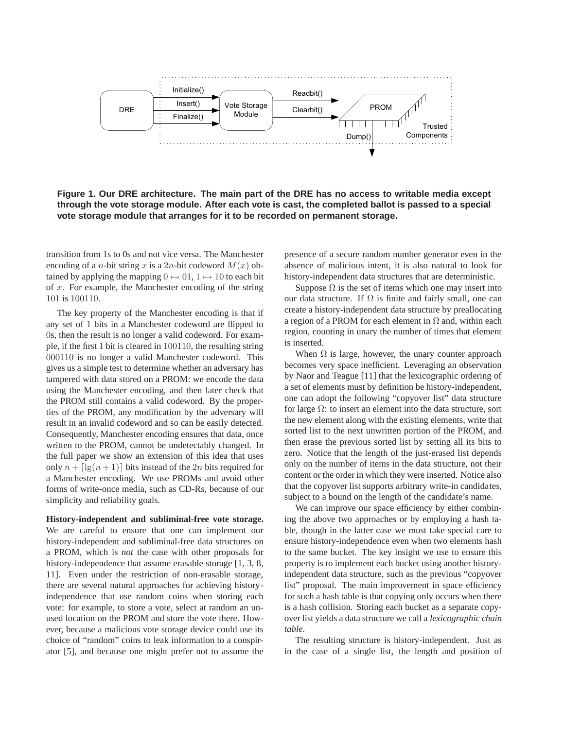

**Figure 1. Our DRE architecture. The main part of the DRE has no access to writable media except through the vote storage module. After each vote is cast, the completed ballot is passed to a special vote storage module that arranges for it to be recorded on permanent storage.**

transition from 1s to 0s and not vice versa. The Manchester encoding of a *n*-bit string x is a 2*n*-bit codeword  $M(x)$  obtained by applying the mapping  $0 \mapsto 01$ ,  $1 \mapsto 10$  to each bit of x. For example, the Manchester encoding of the string 101 is 100110.

The key property of the Manchester encoding is that if any set of 1 bits in a Manchester codeword are flipped to 0s, then the result is no longer a valid codeword. For example, if the first 1 bit is cleared in 100110, the resulting string 000110 is no longer a valid Manchester codeword. This gives us a simple test to determine whether an adversary has tampered with data stored on a PROM: we encode the data using the Manchester encoding, and then later check that the PROM still contains a valid codeword. By the properties of the PROM, any modification by the adversary will result in an invalid codeword and so can be easily detected. Consequently, Manchester encoding ensures that data, once written to the PROM, cannot be undetectably changed. In the full paper we show an extension of this idea that uses only  $n + \lfloor \lg(n+1) \rfloor$  bits instead of the 2n bits required for a Manchester encoding. We use PROMs and avoid other forms of write-once media, such as CD-Rs, because of our simplicity and reliability goals.

**History-independent and subliminal-free vote storage.** We are careful to ensure that one can implement our history-independent and subliminal-free data structures on a PROM, which is *not* the case with other proposals for history-independence that assume erasable storage [1, 3, 8, 11]. Even under the restriction of non-erasable storage, there are several natural approaches for achieving historyindependence that use random coins when storing each vote: for example, to store a vote, select at random an unused location on the PROM and store the vote there. However, because a malicious vote storage device could use its choice of "random" coins to leak information to a conspirator [5], and because one might prefer not to assume the presence of a secure random number generator even in the absence of malicious intent, it is also natural to look for history-independent data structures that are deterministic.

Suppose  $\Omega$  is the set of items which one may insert into our data structure. If  $\Omega$  is finite and fairly small, one can create a history-independent data structure by preallocating a region of a PROM for each element in  $\Omega$  and, within each region, counting in unary the number of times that element is inserted.

When  $\Omega$  is large, however, the unary counter approach becomes very space inefficient. Leveraging an observation by Naor and Teague [11] that the lexicographic ordering of a set of elements must by definition be history-independent, one can adopt the following "copyover list" data structure for large  $\Omega$ : to insert an element into the data structure, sort the new element along with the existing elements, write that sorted list to the next unwritten portion of the PROM, and then erase the previous sorted list by setting all its bits to zero. Notice that the length of the just-erased list depends only on the number of items in the data structure, not their content or the order in which they were inserted. Notice also that the copyover list supports arbitrary write-in candidates, subject to a bound on the length of the candidate's name.

We can improve our space efficiency by either combining the above two approaches or by employing a hash table, though in the latter case we must take special care to ensure history-independence even when two elements hash to the same bucket. The key insight we use to ensure this property is to implement each bucket using another historyindependent data structure, such as the previous "copyover list" proposal. The main improvement in space efficiency for such a hash table is that copying only occurs when there is a hash collision. Storing each bucket as a separate copyover list yields a data structure we call a *lexicographic chain table*.

The resulting structure is history-independent. Just as in the case of a single list, the length and position of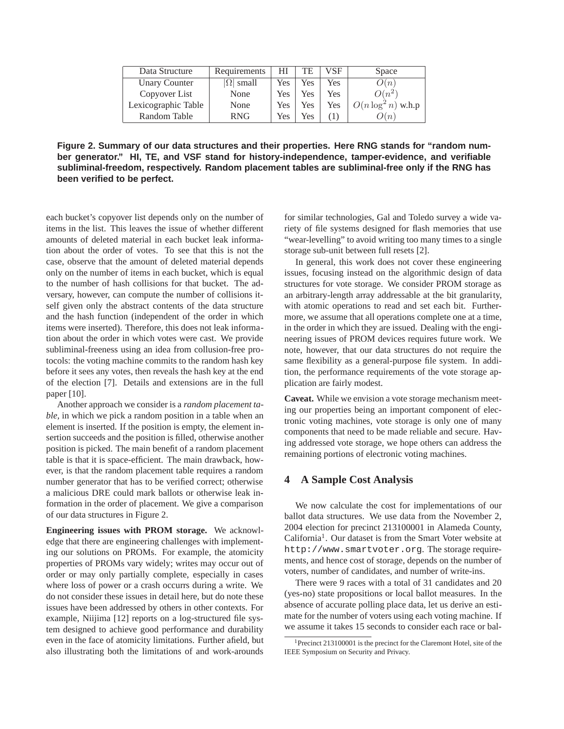| Data Structure       | Requirements   | HI. | TЕ  | VSF | Space                 |
|----------------------|----------------|-----|-----|-----|-----------------------|
| <b>Unary Counter</b> | $\Omega$ small | Yes | Yes | Yes | O(n)                  |
| Copyover List        | None           | Yes | Yes | Yes | $\mathcal{S}(n^2)$    |
| Lexicographic Table  | None           | Yes | Yes | Yes | $O(n \log^2 n)$ w.h.p |
| Random Table         | <b>RNG</b>     | Yes | Yes |     | (n                    |

**Figure 2. Summary of our data structures and their properties. Here RNG stands for "random number generator." HI, TE, and VSF stand for history-independence, tamper-evidence, and verifiable subliminal-freedom, respectively. Random placement tables are subliminal-free only if the RNG has been verified to be perfect.**

each bucket's copyover list depends only on the number of items in the list. This leaves the issue of whether different amounts of deleted material in each bucket leak information about the order of votes. To see that this is not the case, observe that the amount of deleted material depends only on the number of items in each bucket, which is equal to the number of hash collisions for that bucket. The adversary, however, can compute the number of collisions itself given only the abstract contents of the data structure and the hash function (independent of the order in which items were inserted). Therefore, this does not leak information about the order in which votes were cast. We provide subliminal-freeness using an idea from collusion-free protocols: the voting machine commits to the random hash key before it sees any votes, then reveals the hash key at the end of the election [7]. Details and extensions are in the full paper [10].

Another approach we consider is a *random placement table,* in which we pick a random position in a table when an element is inserted. If the position is empty, the element insertion succeeds and the position is filled, otherwise another position is picked. The main benefit of a random placement table is that it is space-efficient. The main drawback, however, is that the random placement table requires a random number generator that has to be verified correct; otherwise a malicious DRE could mark ballots or otherwise leak information in the order of placement. We give a comparison of our data structures in Figure 2.

**Engineering issues with PROM storage.** We acknowledge that there are engineering challenges with implementing our solutions on PROMs. For example, the atomicity properties of PROMs vary widely; writes may occur out of order or may only partially complete, especially in cases where loss of power or a crash occurrs during a write. We do not consider these issues in detail here, but do note these issues have been addressed by others in other contexts. For example, Niijima [12] reports on a log-structured file system designed to achieve good performance and durability even in the face of atomicity limitations. Further afield, but also illustrating both the limitations of and work-arounds

for similar technologies, Gal and Toledo survey a wide variety of file systems designed for flash memories that use "wear-levelling" to avoid writing too many times to a single storage sub-unit between full resets [2].

In general, this work does not cover these engineering issues, focusing instead on the algorithmic design of data structures for vote storage. We consider PROM storage as an arbitrary-length array addressable at the bit granularity, with atomic operations to read and set each bit. Furthermore, we assume that all operations complete one at a time, in the order in which they are issued. Dealing with the engineering issues of PROM devices requires future work. We note, however, that our data structures do not require the same flexibility as a general-purpose file system. In addition, the performance requirements of the vote storage application are fairly modest.

**Caveat.** While we envision a vote storage mechanism meeting our properties being an important component of electronic voting machines, vote storage is only one of many components that need to be made reliable and secure. Having addressed vote storage, we hope others can address the remaining portions of electronic voting machines.

#### **4 A Sample Cost Analysis**

We now calculate the cost for implementations of our ballot data structures. We use data from the November 2, 2004 election for precinct 213100001 in Alameda County, California<sup>1</sup>. Our dataset is from the Smart Voter website at http://www.smartvoter.org. The storage requirements, and hence cost of storage, depends on the number of voters, number of candidates, and number of write-ins.

There were 9 races with a total of 31 candidates and 20 (yes-no) state propositions or local ballot measures. In the absence of accurate polling place data, let us derive an estimate for the number of voters using each voting machine. If we assume it takes 15 seconds to consider each race or bal-

<sup>1</sup>Precinct 213100001 is the precinct for the Claremont Hotel, site of the IEEE Symposium on Security and Privacy.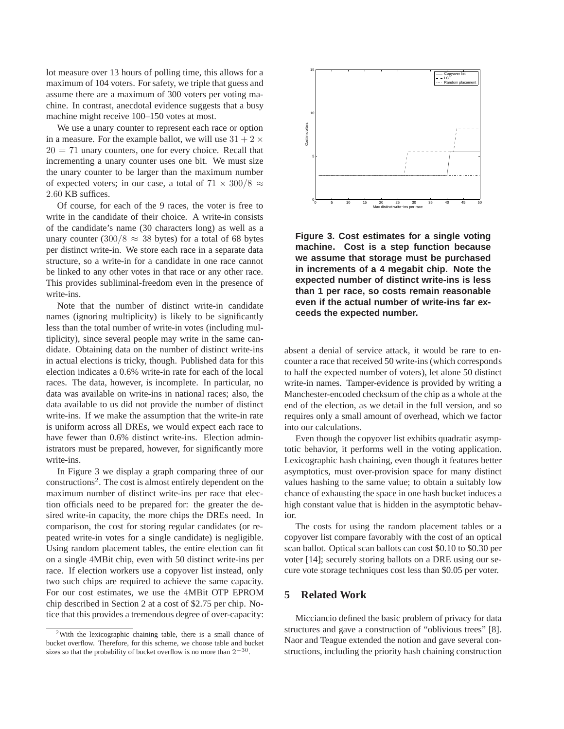lot measure over 13 hours of polling time, this allows for a maximum of 104 voters. For safety, we triple that guess and assume there are a maximum of 300 voters per voting machine. In contrast, anecdotal evidence suggests that a busy machine might receive 100–150 votes at most.

We use a unary counter to represent each race or option in a measure. For the example ballot, we will use  $31 + 2 \times$  $20 = 71$  unary counters, one for every choice. Recall that incrementing a unary counter uses one bit. We must size the unary counter to be larger than the maximum number of expected voters; in our case, a total of  $71 \times 300/8 \approx$ 2.60 KB suffices.

Of course, for each of the 9 races, the voter is free to write in the candidate of their choice. A write-in consists of the candidate's name (30 characters long) as well as a unary counter (300/8  $\approx$  38 bytes) for a total of 68 bytes per distinct write-in. We store each race in a separate data structure, so a write-in for a candidate in one race cannot be linked to any other votes in that race or any other race. This provides subliminal-freedom even in the presence of write-ins.

Note that the number of distinct write-in candidate names (ignoring multiplicity) is likely to be significantly less than the total number of write-in votes (including multiplicity), since several people may write in the same candidate. Obtaining data on the number of distinct write-ins in actual elections is tricky, though. Published data for this election indicates a 0.6% write-in rate for each of the local races. The data, however, is incomplete. In particular, no data was available on write-ins in national races; also, the data available to us did not provide the number of distinct write-ins. If we make the assumption that the write-in rate is uniform across all DREs, we would expect each race to have fewer than  $0.6\%$  distinct write-ins. Election administrators must be prepared, however, for significantly more write-ins.

In Figure 3 we display a graph comparing three of our constructions<sup>2</sup>. The cost is almost entirely dependent on the maximum number of distinct write-ins per race that election officials need to be prepared for: the greater the desired write-in capacity, the more chips the DREs need. In comparison, the cost for storing regular candidates (or repeated write-in votes for a single candidate) is negligible. Using random placement tables, the entire election can fit on a single 4MBit chip, even with 50 distinct write-ins per race. If election workers use a copyover list instead, only two such chips are required to achieve the same capacity. For our cost estimates, we use the 4MBit OTP EPROM chip described in Section 2 at a cost of \$2.75 per chip. Notice that this provides a tremendous degree of over-capacity:



**Figure 3. Cost estimates for a single voting machine. Cost is a step function because we assume that storage must be purchased in increments of a 4 megabit chip. Note the expected number of distinct write-ins is less than 1 per race, so costs remain reasonable even if the actual number of write-ins far exceeds the expected number.**

absent a denial of service attack, it would be rare to encounter a race that received 50 write-ins (which corresponds to half the expected number of voters), let alone 50 distinct write-in names. Tamper-evidence is provided by writing a Manchester-encoded checksum of the chip as a whole at the end of the election, as we detail in the full version, and so requires only a small amount of overhead, which we factor into our calculations.

Even though the copyover list exhibits quadratic asymptotic behavior, it performs well in the voting application. Lexicographic hash chaining, even though it features better asymptotics, must over-provision space for many distinct values hashing to the same value; to obtain a suitably low chance of exhausting the space in one hash bucket induces a high constant value that is hidden in the asymptotic behavior.

The costs for using the random placement tables or a copyover list compare favorably with the cost of an optical scan ballot. Optical scan ballots can cost \$0.10 to \$0.30 per voter [14]; securely storing ballots on a DRE using our secure vote storage techniques cost less than \$0.05 per voter.

#### **5 Related Work**

Micciancio defined the basic problem of privacy for data structures and gave a construction of "oblivious trees" [8]. Naor and Teague extended the notion and gave several constructions, including the priority hash chaining construction

<sup>2</sup>With the lexicographic chaining table, there is a small chance of bucket overflow. Therefore, for this scheme, we choose table and bucket sizes so that the probability of bucket overflow is no more than  $2^{-30}$ .